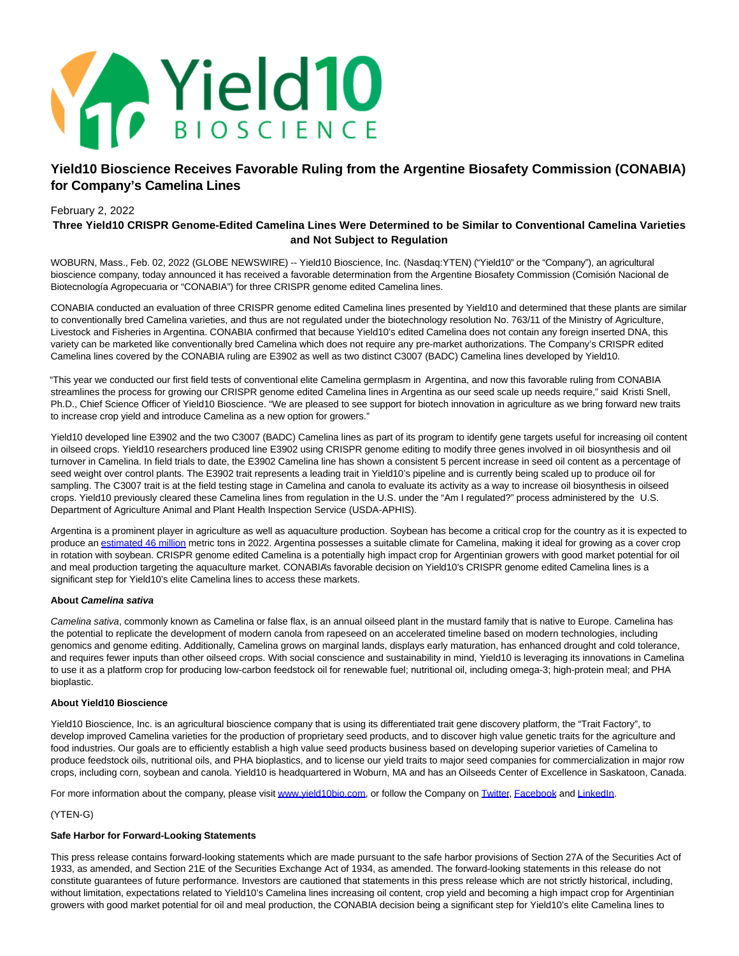

# **Yield10 Bioscience Receives Favorable Ruling from the Argentine Biosafety Commission (CONABIA) for Company's Camelina Lines**

# February 2, 2022

# **Three Yield10 CRISPR Genome-Edited Camelina Lines Were Determined to be Similar to Conventional Camelina Varieties and Not Subject to Regulation**

WOBURN, Mass., Feb. 02, 2022 (GLOBE NEWSWIRE) -- Yield10 Bioscience, Inc. (Nasdaq:YTEN) ("Yield10" or the "Company"), an agricultural bioscience company, today announced it has received a favorable determination from the Argentine Biosafety Commission (Comisión Nacional de Biotecnología Agropecuaria or "CONABIA") for three CRISPR genome edited Camelina lines.

CONABIA conducted an evaluation of three CRISPR genome edited Camelina lines presented by Yield10 and determined that these plants are similar to conventionally bred Camelina varieties, and thus are not regulated under the biotechnology resolution No. 763/11 of the Ministry of Agriculture, Livestock and Fisheries in Argentina. CONABIA confirmed that because Yield10's edited Camelina does not contain any foreign inserted DNA, this variety can be marketed like conventionally bred Camelina which does not require any pre-market authorizations. The Company's CRISPR edited Camelina lines covered by the CONABIA ruling are E3902 as well as two distinct C3007 (BADC) Camelina lines developed by Yield10.

"This year we conducted our first field tests of conventional elite Camelina germplasm in Argentina, and now this favorable ruling from CONABIA streamlines the process for growing our CRISPR genome edited Camelina lines in Argentina as our seed scale up needs require," said Kristi Snell, Ph.D., Chief Science Officer of Yield10 Bioscience. "We are pleased to see support for biotech innovation in agriculture as we bring forward new traits to increase crop yield and introduce Camelina as a new option for growers."

Yield10 developed line E3902 and the two C3007 (BADC) Camelina lines as part of its program to identify gene targets useful for increasing oil content in oilseed crops. Yield10 researchers produced line E3902 using CRISPR genome editing to modify three genes involved in oil biosynthesis and oil turnover in Camelina. In field trials to date, the E3902 Camelina line has shown a consistent 5 percent increase in seed oil content as a percentage of seed weight over control plants. The E3902 trait represents a leading trait in Yield10's pipeline and is currently being scaled up to produce oil for sampling. The C3007 trait is at the field testing stage in Camelina and canola to evaluate its activity as a way to increase oil biosynthesis in oilseed crops. Yield10 previously cleared these Camelina lines from regulation in the U.S. under the "Am I regulated?" process administered by the U.S. Department of Agriculture Animal and Plant Health Inspection Service (USDA-APHIS).

Argentina is a prominent player in agriculture as well as aquaculture production. Soybean has become a critical crop for the country as it is expected to produce an [estimated 46 million m](https://www.globenewswire.com/Tracker?data=kSN1xKKYN09qVOsqdPJxTFEzXcy2ekWDWZhPFH0XWTts_q1eCL2eGkkrwxcFD58Z5isIxAS3jC2ZLrWdPz-CYTLQi6qeTenNMv6EyCVOiNXtS5bULfY5qOsOx7pgM9kGMAe2biV-4k5rICU82zAsDtAns6bi2vTYKT89zhf86qgHswqZWALf-LZmaqIcgYfs)etric tons in 2022. Argentina possesses a suitable climate for Camelina, making it ideal for growing as a cover crop in rotation with soybean. CRISPR genome edited Camelina is a potentially high impact crop for Argentinian growers with good market potential for oil and meal production targeting the aquaculture market. CONABIA's favorable decision on Yield10's CRISPR genome edited Camelina lines is a significant step for Yield10's elite Camelina lines to access these markets.

#### **About Camelina sativa**

Camelina sativa, commonly known as Camelina or false flax, is an annual oilseed plant in the mustard family that is native to Europe. Camelina has the potential to replicate the development of modern canola from rapeseed on an accelerated timeline based on modern technologies, including genomics and genome editing. Additionally, Camelina grows on marginal lands, displays early maturation, has enhanced drought and cold tolerance, and requires fewer inputs than other oilseed crops. With social conscience and sustainability in mind, Yield10 is leveraging its innovations in Camelina to use it as a platform crop for producing low-carbon feedstock oil for renewable fuel; nutritional oil, including omega-3; high-protein meal; and PHA bioplastic.

#### **About Yield10 Bioscience**

Yield10 Bioscience, Inc. is an agricultural bioscience company that is using its differentiated trait gene discovery platform, the "Trait Factory", to develop improved Camelina varieties for the production of proprietary seed products, and to discover high value genetic traits for the agriculture and food industries. Our goals are to efficiently establish a high value seed products business based on developing superior varieties of Camelina to produce feedstock oils, nutritional oils, and PHA bioplastics, and to license our yield traits to major seed companies for commercialization in major row crops, including corn, soybean and canola. Yield10 is headquartered in Woburn, MA and has an Oilseeds Center of Excellence in Saskatoon, Canada.

For more information about the company, please visi[t www.yield10bio.com,](https://www.globenewswire.com/Tracker?data=y99XW_QxYmP_lcC7GdHRyZMs0aOa6D-8A-feeYdlLlyD2oYyTJ5fMgkapFHQ1Ntf0xWNXXXxi_N6JkTOyHfma-xC_ZjFoqQP_LmEJHiV5Bs=) or follow the Company on [Twitter,](https://www.globenewswire.com/Tracker?data=CLIMXvMezz0hqSo1nuo1fhuKUMmbEV2DSSEiYX1qI8Drk5EsJz8tarmxIMqjlGtSxFEopdfiuwqcNw6YegAS1w==) [Facebook a](https://www.globenewswire.com/Tracker?data=q0lxj-YTuj8HfOqKqxWTG5v9AYkxYEmmf9IpEWebjY1lCMXH9ns6MeMe4qYCHwMWoU6VVjEs6NuwTrn4B2IZZ-J959_tyaKSxtCHcwn1Q8U=)nd [LinkedIn.](https://www.globenewswire.com/Tracker?data=fqz5UzwNEyMDPS6dzQEJjwPbbMZlXqcXrl42DDCu87H5-T3JpjkWYjE7lHHCWJntJnn26D_5NB8c7aPUQ2lC4D6JFnkBTwZrj8WLYOjDde0=)

#### (YTEN-G)

# **Safe Harbor for Forward-Looking Statements**

This press release contains forward-looking statements which are made pursuant to the safe harbor provisions of Section 27A of the Securities Act of 1933, as amended, and Section 21E of the Securities Exchange Act of 1934, as amended. The forward-looking statements in this release do not constitute guarantees of future performance. Investors are cautioned that statements in this press release which are not strictly historical, including, without limitation, expectations related to Yield10's Camelina lines increasing oil content, crop yield and becoming a high impact crop for Argentinian growers with good market potential for oil and meal production, the CONABIA decision being a significant step for Yield10's elite Camelina lines to